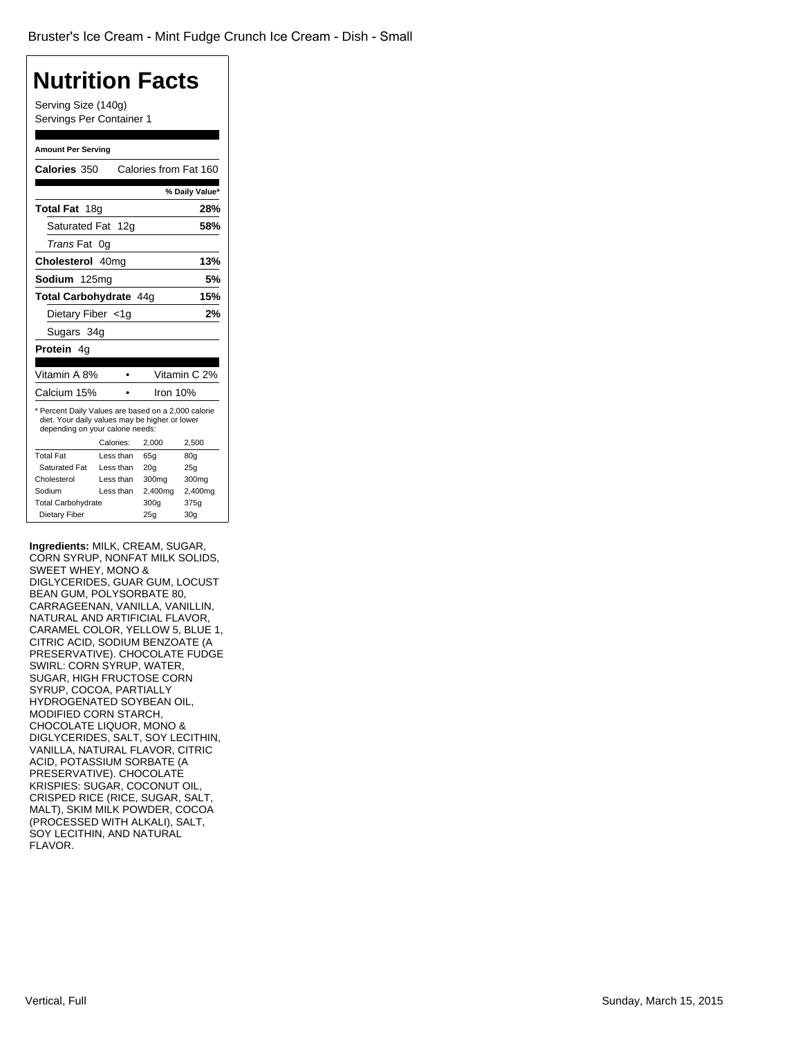### **Nutrition Facts**

Serving Size (140g) Servings Per Container 1

#### **Amount Per Serving**

| Calories 350                                                                                                                              |            | Calories from Fat 160 |                |
|-------------------------------------------------------------------------------------------------------------------------------------------|------------|-----------------------|----------------|
|                                                                                                                                           |            |                       |                |
|                                                                                                                                           |            |                       | % Daily Value* |
| Total Fat 18g                                                                                                                             |            |                       | 28%            |
| Saturated Fat 12g                                                                                                                         |            |                       | 58%            |
| <i>Trans</i> Fat                                                                                                                          | 0g         |                       |                |
| Cholesterol 40mg                                                                                                                          |            |                       | 13%            |
| Sodium 125mg                                                                                                                              |            |                       | 5%             |
| Total Carbohydrate 44g                                                                                                                    |            |                       | 15%            |
| Dietary Fiber <1q                                                                                                                         |            |                       | 2%             |
| Sugars 34g                                                                                                                                |            |                       |                |
| <b>Protein</b> 4g                                                                                                                         |            |                       |                |
|                                                                                                                                           |            |                       |                |
| Vitamin A 8%                                                                                                                              |            |                       | Vitamin C 2%   |
| Calcium 15%                                                                                                                               |            |                       | Iron 10%       |
| * Percent Daily Values are based on a 2,000 calorie<br>diet. Your daily values may be higher or lower<br>depending on your calorie needs: |            |                       |                |
|                                                                                                                                           | Calories:  | 2,000                 | 2,500          |
| Total Fat                                                                                                                                 | Less than  | 65a                   | 80q            |
| Saturated Fat                                                                                                                             | I ess than | 20 <sub>g</sub>       | 25g            |
| Cholesterol                                                                                                                               | Less than  | 300mg                 | 300mg          |
| Sodium                                                                                                                                    | Less than  | 2,400mg               | 2,400mg        |
| <b>Total Carbohydrate</b>                                                                                                                 |            | 300g                  | 375g           |
|                                                                                                                                           |            |                       |                |

**Ingredients:** MILK, CREAM, SUGAR, CORN SYRUP, NONFAT MILK SOLIDS, SWEET WHEY, MONO & DIGLYCERIDES, GUAR GUM, LOCUST BEAN GUM, POLYSORBATE 80, CARRAGEENAN, VANILLA, VANILLIN, NATURAL AND ARTIFICIAL FLAVOR, CARAMEL COLOR, YELLOW 5, BLUE 1, CITRIC ACID, SODIUM BENZOATE (A PRESERVATIVE). CHOCOLATE FUDGE SWIRL: CORN SYRUP, WATER, SUGAR, HIGH FRUCTOSE CORN SYRUP, COCOA, PARTIALLY HYDROGENATED SOYBEAN OIL, MODIFIED CORN STARCH, CHOCOLATE LIQUOR, MONO & DIGLYCERIDES, SALT, SOY LECITHIN, VANILLA, NATURAL FLAVOR, CITRIC ACID, POTASSIUM SORBATE (A PRESERVATIVE). CHOCOLATE KRISPIES: SUGAR, COCONUT OIL, CRISPED RICE (RICE, SUGAR, SALT, MALT), SKIM MILK POWDER, COCOA (PROCESSED WITH ALKALI), SALT, SOY LECITHIN, AND NATURAL FLAVOR.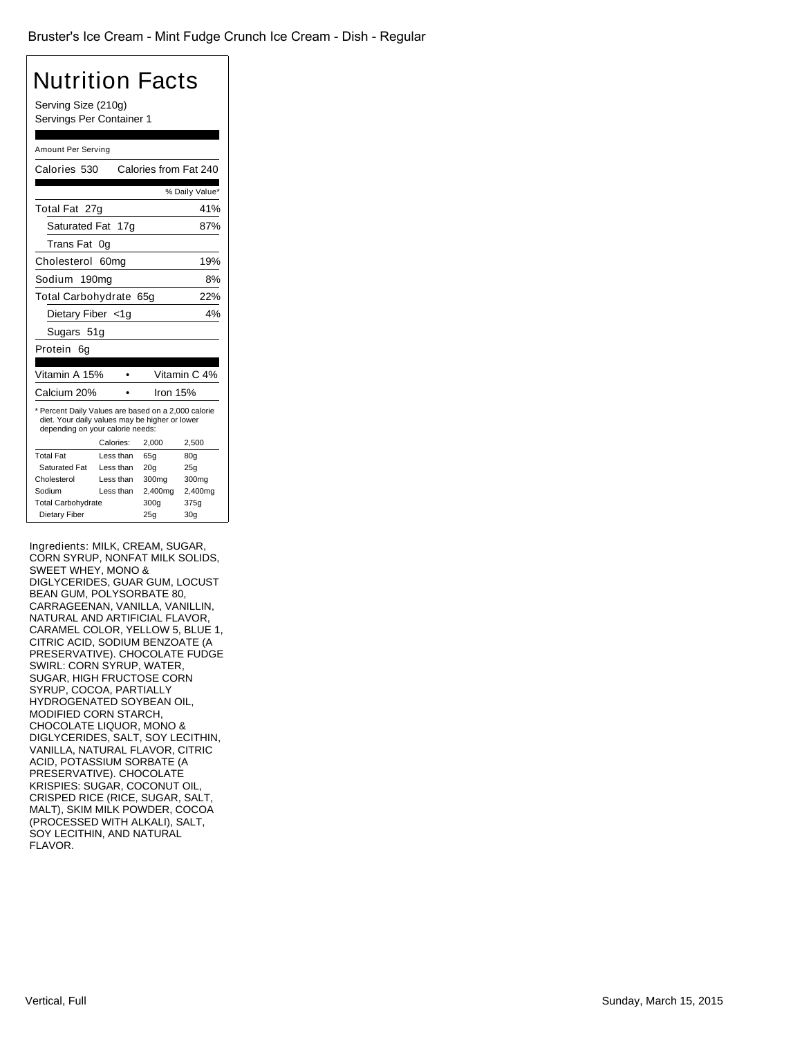#### Nutrition Facts Serving Size (210g) Servings Per Container 1 Amount Per Serving Calories 530 Calories from Fat 240 % Daily Value\* Total Fat 27g 41% Saturated Fat 17g 87% *Trans* Fat 0g Cholesterol 60mg 19% Sodium 190mg 8% Total Carbohydrate 65g 22% Dietary Fiber <1g 4% Sugars 51g Protein 6g Vitamin A 15% • Vitamin C 4% Calcium 20% • Iron 15% \* Percent Daily Values are based on a 2,000 calorie diet. Your daily values may be higher or lower depending on your calorie needs: Calories: 2,000 2,500 Total Fat Less than 65g 80g Saturated Fat Less than 20g 25g Cholesterol Less than 300mg 300mg Sodium Less than 2,400mg 2,400mg Total Carbohydrate 300g 375g Dietary Fiber 25g 30g

Ingredients: MILK, CREAM, SUGAR, CORN SYRUP, NONFAT MILK SOLIDS, SWEET WHEY, MONO & DIGLYCERIDES, GUAR GUM, LOCUST BEAN GUM, POLYSORBATE 80, CARRAGEENAN, VANILLA, VANILLIN, NATURAL AND ARTIFICIAL FLAVOR, CARAMEL COLOR, YELLOW 5, BLUE 1, CITRIC ACID, SODIUM BENZOATE (A PRESERVATIVE). CHOCOLATE FUDGE SWIRL: CORN SYRUP, WATER, SUGAR, HIGH FRUCTOSE CORN SYRUP, COCOA, PARTIALLY HYDROGENATED SOYBEAN OIL, MODIFIED CORN STARCH, CHOCOLATE LIQUOR, MONO & DIGLYCERIDES, SALT, SOY LECITHIN, VANILLA, NATURAL FLAVOR, CITRIC ACID, POTASSIUM SORBATE (A PRESERVATIVE). CHOCOLATE KRISPIES: SUGAR, COCONUT OIL, CRISPED RICE (RICE, SUGAR, SALT, MALT), SKIM MILK POWDER, COCOA (PROCESSED WITH ALKALI), SALT, SOY LECITHIN, AND NATURAL FLAVOR.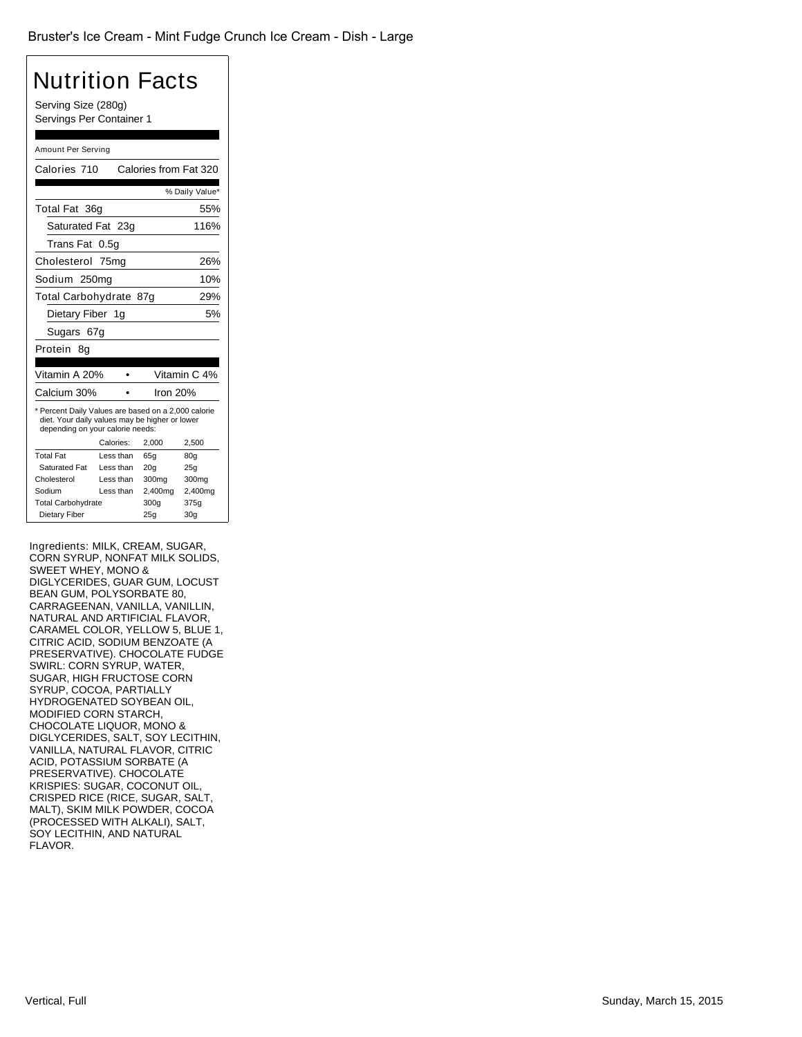### Nutrition Facts Serving Size (280g)

Servings Per Container 1

#### Amount Per Serving

| Calories 710                                                                                                                              |           | Calories from Fat 320 |                 |
|-------------------------------------------------------------------------------------------------------------------------------------------|-----------|-----------------------|-----------------|
|                                                                                                                                           |           |                       | % Daily Value*  |
| Total Fat 36g                                                                                                                             |           |                       | 55%             |
| Saturated Fat 23g                                                                                                                         |           |                       | 116%            |
| Trans Fat                                                                                                                                 | 0.5a      |                       |                 |
| Cholesterol 75mg                                                                                                                          |           |                       | 26%             |
| Sodium 250mg                                                                                                                              |           |                       | 10%             |
| Total Carbohydrate 87g                                                                                                                    |           |                       | 29%             |
| Dietary Fiber 1g                                                                                                                          |           |                       | 5%              |
| Sugars 67g                                                                                                                                |           |                       |                 |
| Protein<br>8q                                                                                                                             |           |                       |                 |
|                                                                                                                                           |           |                       |                 |
| Vitamin A 20%                                                                                                                             |           |                       | Vitamin C 4%    |
| Calcium 30%                                                                                                                               |           | Iron $20%$            |                 |
| * Percent Daily Values are based on a 2,000 calorie<br>diet. Your daily values may be higher or lower<br>depending on your calorie needs: |           |                       |                 |
|                                                                                                                                           | Calories: | 2,000                 | 2,500           |
| <b>Total Fat</b>                                                                                                                          | Less than | 65a                   | 80q             |
| Saturated Fat                                                                                                                             | Less than | 20q                   | 25q             |
| Cholesterol                                                                                                                               | Less than | 300mg                 | 300mg           |
| Sodium                                                                                                                                    | Less than | 2,400mg               | 2,400mg         |
| <b>Total Carbohydrate</b>                                                                                                                 |           | 300q                  | 375g            |
| Dietary Fiber                                                                                                                             |           | 25g                   | 30 <sub>q</sub> |

Ingredients: MILK, CREAM, SUGAR, CORN SYRUP, NONFAT MILK SOLIDS, SWEET WHEY, MONO & DIGLYCERIDES, GUAR GUM, LOCUST BEAN GUM, POLYSORBATE 80, CARRAGEENAN, VANILLA, VANILLIN, NATURAL AND ARTIFICIAL FLAVOR, CARAMEL COLOR, YELLOW 5, BLUE 1, CITRIC ACID, SODIUM BENZOATE (A PRESERVATIVE). CHOCOLATE FUDGE SWIRL: CORN SYRUP, WATER, SUGAR, HIGH FRUCTOSE CORN SYRUP, COCOA, PARTIALLY HYDROGENATED SOYBEAN OIL, MODIFIED CORN STARCH, CHOCOLATE LIQUOR, MONO & DIGLYCERIDES, SALT, SOY LECITHIN, VANILLA, NATURAL FLAVOR, CITRIC ACID, POTASSIUM SORBATE (A PRESERVATIVE). CHOCOLATE KRISPIES: SUGAR, COCONUT OIL, CRISPED RICE (RICE, SUGAR, SALT, MALT), SKIM MILK POWDER, COCOA (PROCESSED WITH ALKALI), SALT, SOY LECITHIN, AND NATURAL FLAVOR.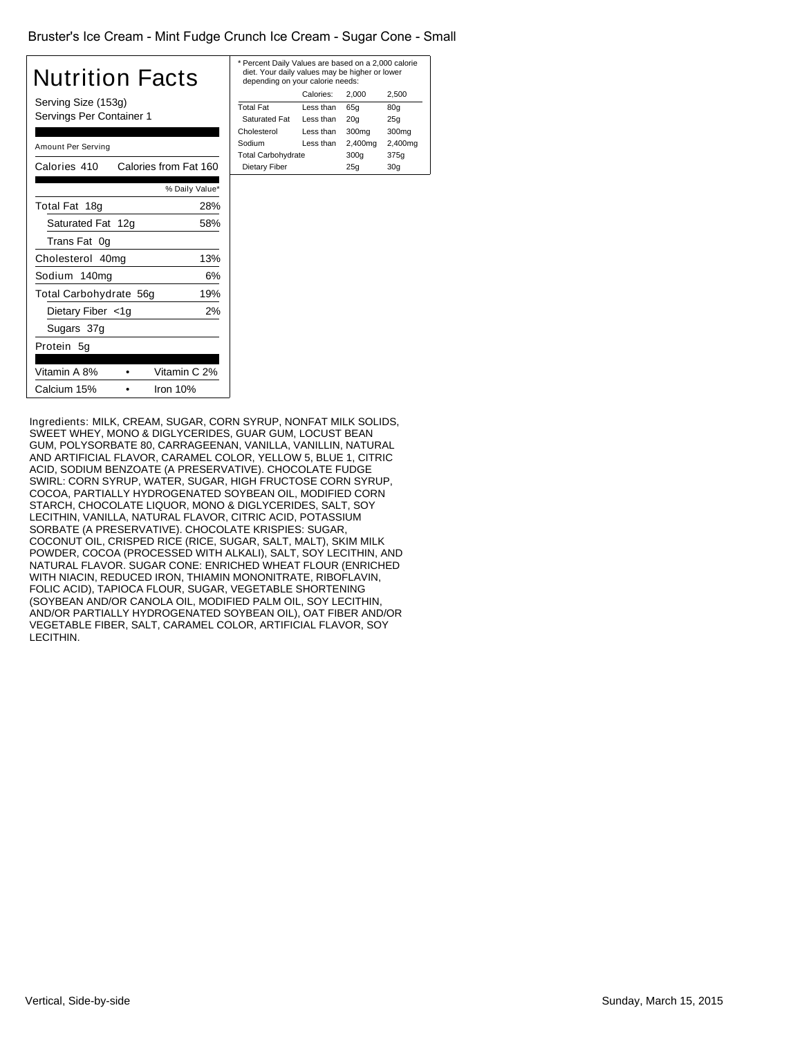#### Bruster's Ice Cream - Mint Fudge Crunch Ice Cream - Sugar Cone - Small

| Nutrition Facts<br>Serving Size (153g)<br>Servings Per Container 1 |                |  |  |
|--------------------------------------------------------------------|----------------|--|--|
| Amount Per Serving                                                 |                |  |  |
| Calories 410<br>Calories from Fat 160                              |                |  |  |
|                                                                    | % Daily Value* |  |  |
| Total Fat 18g                                                      | 28%            |  |  |
| Saturated Fat 12g                                                  | 58%            |  |  |
| Trans Fat 0g                                                       |                |  |  |
| Cholesterol 40mg                                                   | 13%            |  |  |
| Sodium 140mg                                                       | 6%             |  |  |
| Total Carbohydrate 56g                                             | 19%            |  |  |
| Dietary Fiber <1g                                                  | 2%             |  |  |
| Sugars 37g                                                         |                |  |  |
| Protein 5g                                                         |                |  |  |
| Vitamin A 8%                                                       | Vitamin C 2%   |  |  |
| Calcium 15%                                                        | Iron $10%$     |  |  |

| * Percent Daily Values are based on a 2,000 calorie<br>diet. Your daily values may be higher or lower<br>depending on your calorie needs: |           |                 |         |  |
|-------------------------------------------------------------------------------------------------------------------------------------------|-----------|-----------------|---------|--|
| Calories:<br>2.500<br>2.000                                                                                                               |           |                 |         |  |
| <b>Total Fat</b>                                                                                                                          | Less than | 65q             | 80q     |  |
| <b>Saturated Fat</b>                                                                                                                      | Less than | 20 <sub>q</sub> | 25q     |  |
| Cholesterol                                                                                                                               | Less than | 300mg           | 300mg   |  |
| Sodium                                                                                                                                    | Less than | 2,400mg         | 2,400mg |  |
| <b>Total Carbohydrate</b>                                                                                                                 |           | 300q            | 375g    |  |
| Dietary Fiber<br>30 <sub>q</sub><br>25q                                                                                                   |           |                 |         |  |
|                                                                                                                                           |           |                 |         |  |

Ingredients: MILK, CREAM, SUGAR, CORN SYRUP, NONFAT MILK SOLIDS, SWEET WHEY, MONO & DIGLYCERIDES, GUAR GUM, LOCUST BEAN GUM, POLYSORBATE 80, CARRAGEENAN, VANILLA, VANILLIN, NATURAL AND ARTIFICIAL FLAVOR, CARAMEL COLOR, YELLOW 5, BLUE 1, CITRIC ACID, SODIUM BENZOATE (A PRESERVATIVE). CHOCOLATE FUDGE SWIRL: CORN SYRUP, WATER, SUGAR, HIGH FRUCTOSE CORN SYRUP, COCOA, PARTIALLY HYDROGENATED SOYBEAN OIL, MODIFIED CORN STARCH, CHOCOLATE LIQUOR, MONO & DIGLYCERIDES, SALT, SOY LECITHIN, VANILLA, NATURAL FLAVOR, CITRIC ACID, POTASSIUM SORBATE (A PRESERVATIVE). CHOCOLATE KRISPIES: SUGAR, COCONUT OIL, CRISPED RICE (RICE, SUGAR, SALT, MALT), SKIM MILK POWDER, COCOA (PROCESSED WITH ALKALI), SALT, SOY LECITHIN, AND NATURAL FLAVOR. SUGAR CONE: ENRICHED WHEAT FLOUR (ENRICHED WITH NIACIN, REDUCED IRON, THIAMIN MONONITRATE, RIBOFLAVIN, FOLIC ACID), TAPIOCA FLOUR, SUGAR, VEGETABLE SHORTENING (SOYBEAN AND/OR CANOLA OIL, MODIFIED PALM OIL, SOY LECITHIN, AND/OR PARTIALLY HYDROGENATED SOYBEAN OIL), OAT FIBER AND/OR VEGETABLE FIBER, SALT, CARAMEL COLOR, ARTIFICIAL FLAVOR, SOY LECITHIN.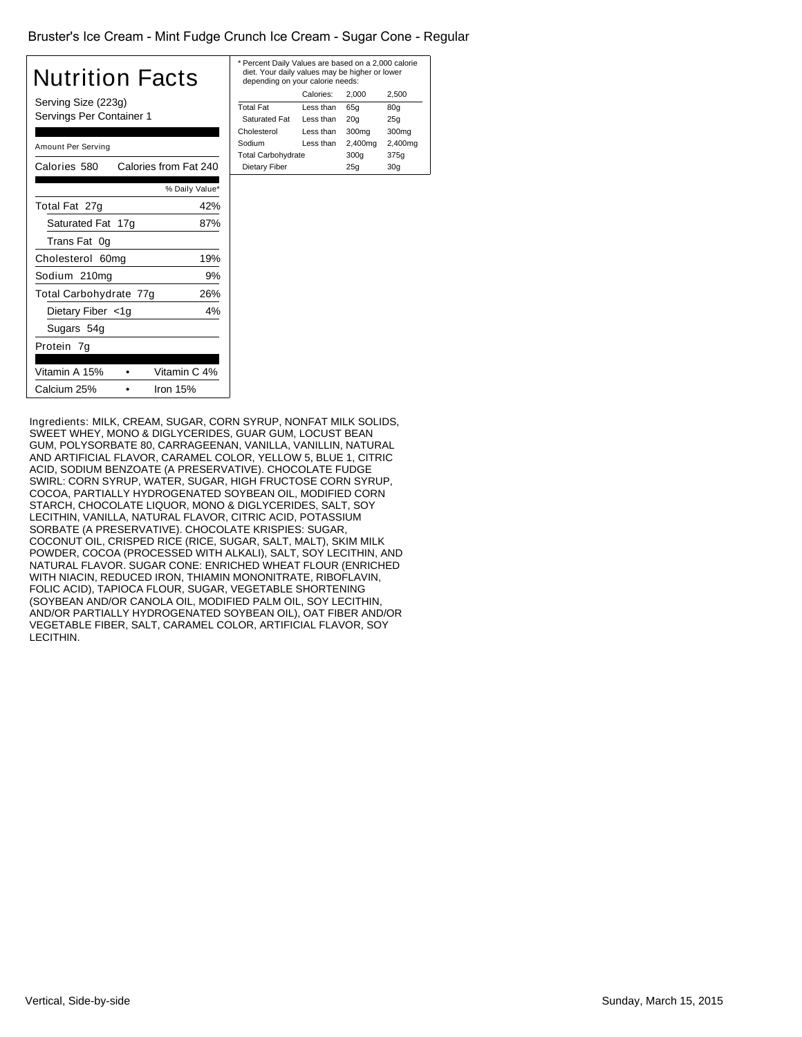#### Bruster's Ice Cream - Mint Fudge Crunch Ice Cream - Sugar Cone - Regular

| Nutrition Facts<br>Serving Size (223g)<br>Servings Per Container 1 |                |  |  |
|--------------------------------------------------------------------|----------------|--|--|
| Amount Per Serving                                                 |                |  |  |
| Calories from Fat 240<br>Calories 580                              |                |  |  |
|                                                                    | % Daily Value* |  |  |
| Total Fat 27g                                                      | 42%            |  |  |
| Saturated Fat 17g                                                  | 87%            |  |  |
| Trans Fat 0g                                                       |                |  |  |
| Cholesterol 60mg                                                   | 19%            |  |  |
| Sodium 210mg                                                       | 9%             |  |  |
| Total Carbohydrate 77g                                             | 26%            |  |  |
| Dietary Fiber <1g                                                  | 4%             |  |  |
| Sugars 54g                                                         |                |  |  |
| Protein 7g                                                         |                |  |  |
| Vitamin A 15%                                                      | Vitamin C 4%   |  |  |
| Calcium 25%                                                        | Iron $15%$     |  |  |

| * Percent Daily Values are based on a 2,000 calorie<br>diet. Your daily values may be higher or lower<br>depending on your calorie needs: |           |                 |                   |  |
|-------------------------------------------------------------------------------------------------------------------------------------------|-----------|-----------------|-------------------|--|
|                                                                                                                                           | Calories: | 2.000           | 2.500             |  |
| <b>Total Fat</b>                                                                                                                          | Less than | 65q             | 80q               |  |
| <b>Saturated Fat</b>                                                                                                                      | Less than | 20 <sub>q</sub> | 25q               |  |
| Cholesterol                                                                                                                               | Less than | 300mg           | 300 <sub>mg</sub> |  |
| Sodium                                                                                                                                    | Less than | 2,400mg         | 2,400mg           |  |
| <b>Total Carbohydrate</b>                                                                                                                 |           | 300q            | 375g              |  |
| Dietary Fiber<br>25q<br>30 <sub>q</sub>                                                                                                   |           |                 |                   |  |
|                                                                                                                                           |           |                 |                   |  |

Ingredients: MILK, CREAM, SUGAR, CORN SYRUP, NONFAT MILK SOLIDS, SWEET WHEY, MONO & DIGLYCERIDES, GUAR GUM, LOCUST BEAN GUM, POLYSORBATE 80, CARRAGEENAN, VANILLA, VANILLIN, NATURAL AND ARTIFICIAL FLAVOR, CARAMEL COLOR, YELLOW 5, BLUE 1, CITRIC ACID, SODIUM BENZOATE (A PRESERVATIVE). CHOCOLATE FUDGE SWIRL: CORN SYRUP, WATER, SUGAR, HIGH FRUCTOSE CORN SYRUP, COCOA, PARTIALLY HYDROGENATED SOYBEAN OIL, MODIFIED CORN STARCH, CHOCOLATE LIQUOR, MONO & DIGLYCERIDES, SALT, SOY LECITHIN, VANILLA, NATURAL FLAVOR, CITRIC ACID, POTASSIUM SORBATE (A PRESERVATIVE). CHOCOLATE KRISPIES: SUGAR, COCONUT OIL, CRISPED RICE (RICE, SUGAR, SALT, MALT), SKIM MILK POWDER, COCOA (PROCESSED WITH ALKALI), SALT, SOY LECITHIN, AND NATURAL FLAVOR. SUGAR CONE: ENRICHED WHEAT FLOUR (ENRICHED WITH NIACIN, REDUCED IRON, THIAMIN MONONITRATE, RIBOFLAVIN, FOLIC ACID), TAPIOCA FLOUR, SUGAR, VEGETABLE SHORTENING (SOYBEAN AND/OR CANOLA OIL, MODIFIED PALM OIL, SOY LECITHIN, AND/OR PARTIALLY HYDROGENATED SOYBEAN OIL), OAT FIBER AND/OR VEGETABLE FIBER, SALT, CARAMEL COLOR, ARTIFICIAL FLAVOR, SOY LECITHIN.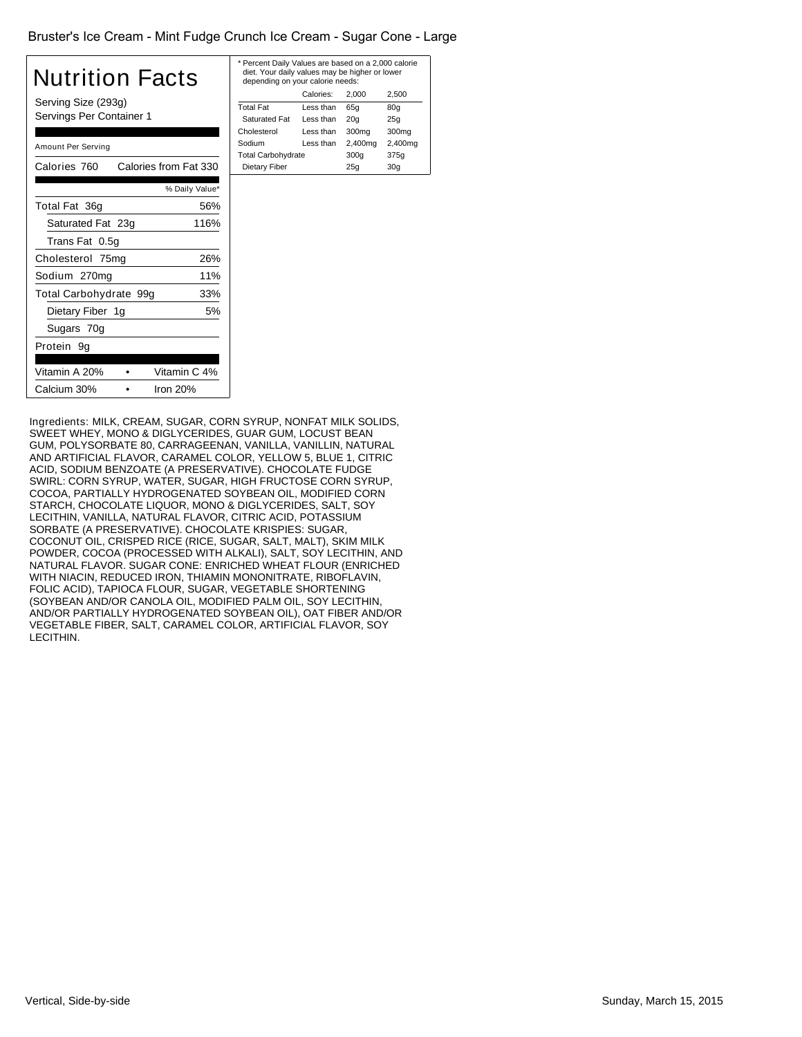#### Bruster's Ice Cream - Mint Fudge Crunch Ice Cream - Sugar Cone - Large

| Nutrition Facts<br>Serving Size (293g)<br>Servings Per Container 1 |                |  |  |
|--------------------------------------------------------------------|----------------|--|--|
| Amount Per Serving                                                 |                |  |  |
| Calories from Fat 330<br>Calories 760                              |                |  |  |
|                                                                    | % Daily Value* |  |  |
| Total Fat 36g                                                      | 56%            |  |  |
| Saturated Fat 23g                                                  | 116%           |  |  |
| Trans Fat 0.5g                                                     |                |  |  |
| Cholesterol 75mg                                                   | 26%            |  |  |
| Sodium 270mg                                                       | 11%            |  |  |
| Total Carbohydrate 99g                                             | 33%            |  |  |
| Dietary Fiber 1g                                                   | 5%             |  |  |
| Sugars 70g                                                         |                |  |  |
| Protein 9g                                                         |                |  |  |
| Vitamin A 20%                                                      | Vitamin C 4%   |  |  |
| Iron 20%<br>Calcium 30%                                            |                |  |  |

| * Percent Daily Values are based on a 2,000 calorie<br>diet. Your daily values may be higher or lower<br>depending on your calorie needs: |           |                 |         |  |
|-------------------------------------------------------------------------------------------------------------------------------------------|-----------|-----------------|---------|--|
|                                                                                                                                           | Calories: | 2.000           | 2.500   |  |
| Total Fat                                                                                                                                 | Less than | 65q             | 80q     |  |
| <b>Saturated Fat</b>                                                                                                                      | Less than | 20 <sub>q</sub> | 25q     |  |
| Cholesterol                                                                                                                               | Less than | 300mg           | 300mg   |  |
| Sodium                                                                                                                                    | Less than | 2,400mg         | 2,400mg |  |
| <b>Total Carbohydrate</b>                                                                                                                 |           | 300q            | 375q    |  |
| Dietary Fiber<br>25q<br>30 <sub>q</sub>                                                                                                   |           |                 |         |  |
|                                                                                                                                           |           |                 |         |  |

Ingredients: MILK, CREAM, SUGAR, CORN SYRUP, NONFAT MILK SOLIDS, SWEET WHEY, MONO & DIGLYCERIDES, GUAR GUM, LOCUST BEAN GUM, POLYSORBATE 80, CARRAGEENAN, VANILLA, VANILLIN, NATURAL AND ARTIFICIAL FLAVOR, CARAMEL COLOR, YELLOW 5, BLUE 1, CITRIC ACID, SODIUM BENZOATE (A PRESERVATIVE). CHOCOLATE FUDGE SWIRL: CORN SYRUP, WATER, SUGAR, HIGH FRUCTOSE CORN SYRUP, COCOA, PARTIALLY HYDROGENATED SOYBEAN OIL, MODIFIED CORN STARCH, CHOCOLATE LIQUOR, MONO & DIGLYCERIDES, SALT, SOY LECITHIN, VANILLA, NATURAL FLAVOR, CITRIC ACID, POTASSIUM SORBATE (A PRESERVATIVE). CHOCOLATE KRISPIES: SUGAR, COCONUT OIL, CRISPED RICE (RICE, SUGAR, SALT, MALT), SKIM MILK POWDER, COCOA (PROCESSED WITH ALKALI), SALT, SOY LECITHIN, AND NATURAL FLAVOR. SUGAR CONE: ENRICHED WHEAT FLOUR (ENRICHED WITH NIACIN, REDUCED IRON, THIAMIN MONONITRATE, RIBOFLAVIN, FOLIC ACID), TAPIOCA FLOUR, SUGAR, VEGETABLE SHORTENING (SOYBEAN AND/OR CANOLA OIL, MODIFIED PALM OIL, SOY LECITHIN, AND/OR PARTIALLY HYDROGENATED SOYBEAN OIL), OAT FIBER AND/OR VEGETABLE FIBER, SALT, CARAMEL COLOR, ARTIFICIAL FLAVOR, SOY LECITHIN.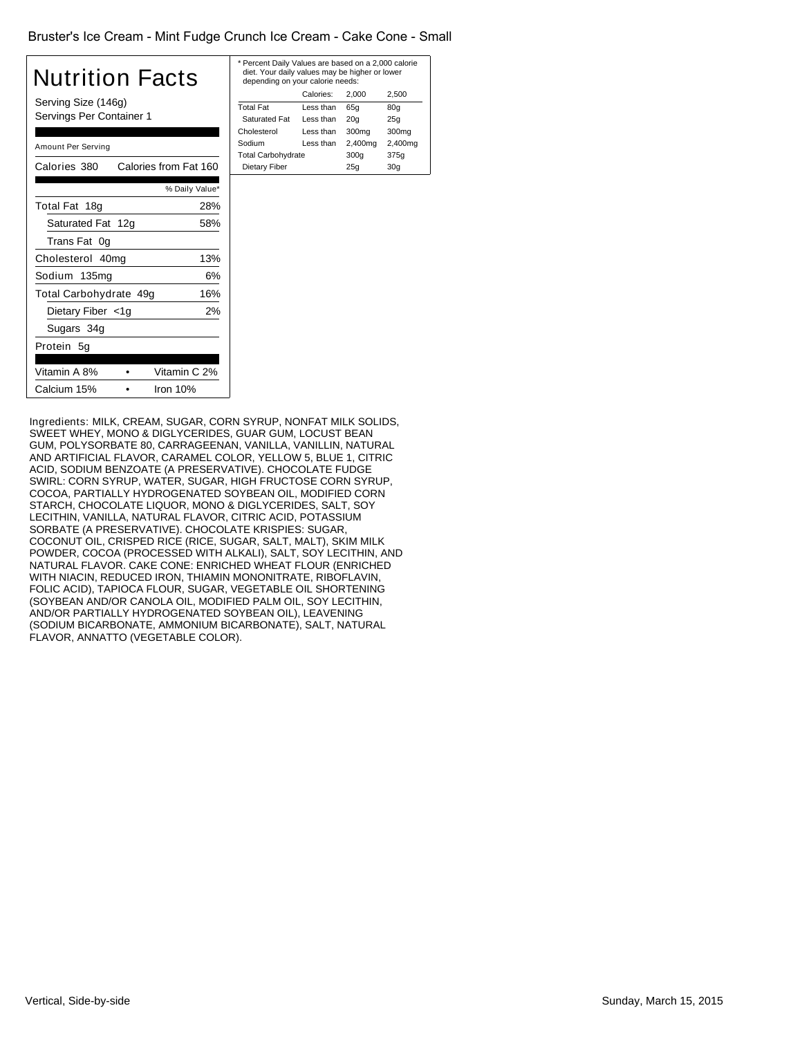#### Bruster's Ice Cream - Mint Fudge Crunch Ice Cream - Cake Cone - Small

| Nutrition Facts<br>Serving Size (146g)<br>Servings Per Container 1 |                |  |  |
|--------------------------------------------------------------------|----------------|--|--|
|                                                                    |                |  |  |
| Amount Per Serving                                                 |                |  |  |
| Calories from Fat 160<br>Calories 380                              |                |  |  |
|                                                                    | % Daily Value* |  |  |
| Total Fat 18g                                                      | 28%            |  |  |
| Saturated Fat 12g                                                  | 58%            |  |  |
| Trans Fat 0g                                                       |                |  |  |
| Cholesterol 40mg                                                   | 13%            |  |  |
| Sodium 135mg                                                       | 6%             |  |  |
| Total Carbohydrate 49g                                             | 16%            |  |  |
| Dietary Fiber <1g                                                  | 2%             |  |  |
| Sugars 34g                                                         |                |  |  |
| Protein 5q                                                         |                |  |  |
| Vitamin A 8%                                                       | Vitamin C 2%   |  |  |
| Calcium 15%                                                        | Iron 10%       |  |  |

| * Percent Daily Values are based on a 2,000 calorie<br>diet. Your daily values may be higher or lower<br>depending on your calorie needs: |           |                   |         |  |
|-------------------------------------------------------------------------------------------------------------------------------------------|-----------|-------------------|---------|--|
|                                                                                                                                           | Calories: | 2.000             | 2.500   |  |
| Total Fat                                                                                                                                 | Less than | 65q               | 80q     |  |
| <b>Saturated Fat</b>                                                                                                                      | Less than | 20 <sub>q</sub>   | 25q     |  |
| Cholesterol                                                                                                                               | Less than | 300 <sub>mq</sub> | 300mg   |  |
| Sodium                                                                                                                                    | Less than | 2,400mg           | 2,400mg |  |
| <b>Total Carbohydrate</b>                                                                                                                 |           | 300q              | 375g    |  |
| Dietary Fiber<br>25q<br>30 <sub>q</sub>                                                                                                   |           |                   |         |  |
|                                                                                                                                           |           |                   |         |  |

Ingredients: MILK, CREAM, SUGAR, CORN SYRUP, NONFAT MILK SOLIDS, SWEET WHEY, MONO & DIGLYCERIDES, GUAR GUM, LOCUST BEAN GUM, POLYSORBATE 80, CARRAGEENAN, VANILLA, VANILLIN, NATURAL AND ARTIFICIAL FLAVOR, CARAMEL COLOR, YELLOW 5, BLUE 1, CITRIC ACID, SODIUM BENZOATE (A PRESERVATIVE). CHOCOLATE FUDGE SWIRL: CORN SYRUP, WATER, SUGAR, HIGH FRUCTOSE CORN SYRUP, COCOA, PARTIALLY HYDROGENATED SOYBEAN OIL, MODIFIED CORN STARCH, CHOCOLATE LIQUOR, MONO & DIGLYCERIDES, SALT, SOY LECITHIN, VANILLA, NATURAL FLAVOR, CITRIC ACID, POTASSIUM SORBATE (A PRESERVATIVE). CHOCOLATE KRISPIES: SUGAR, COCONUT OIL, CRISPED RICE (RICE, SUGAR, SALT, MALT), SKIM MILK POWDER, COCOA (PROCESSED WITH ALKALI), SALT, SOY LECITHIN, AND NATURAL FLAVOR. CAKE CONE: ENRICHED WHEAT FLOUR (ENRICHED WITH NIACIN, REDUCED IRON, THIAMIN MONONITRATE, RIBOFLAVIN, FOLIC ACID), TAPIOCA FLOUR, SUGAR, VEGETABLE OIL SHORTENING (SOYBEAN AND/OR CANOLA OIL, MODIFIED PALM OIL, SOY LECITHIN, AND/OR PARTIALLY HYDROGENATED SOYBEAN OIL), LEAVENING (SODIUM BICARBONATE, AMMONIUM BICARBONATE), SALT, NATURAL FLAVOR, ANNATTO (VEGETABLE COLOR).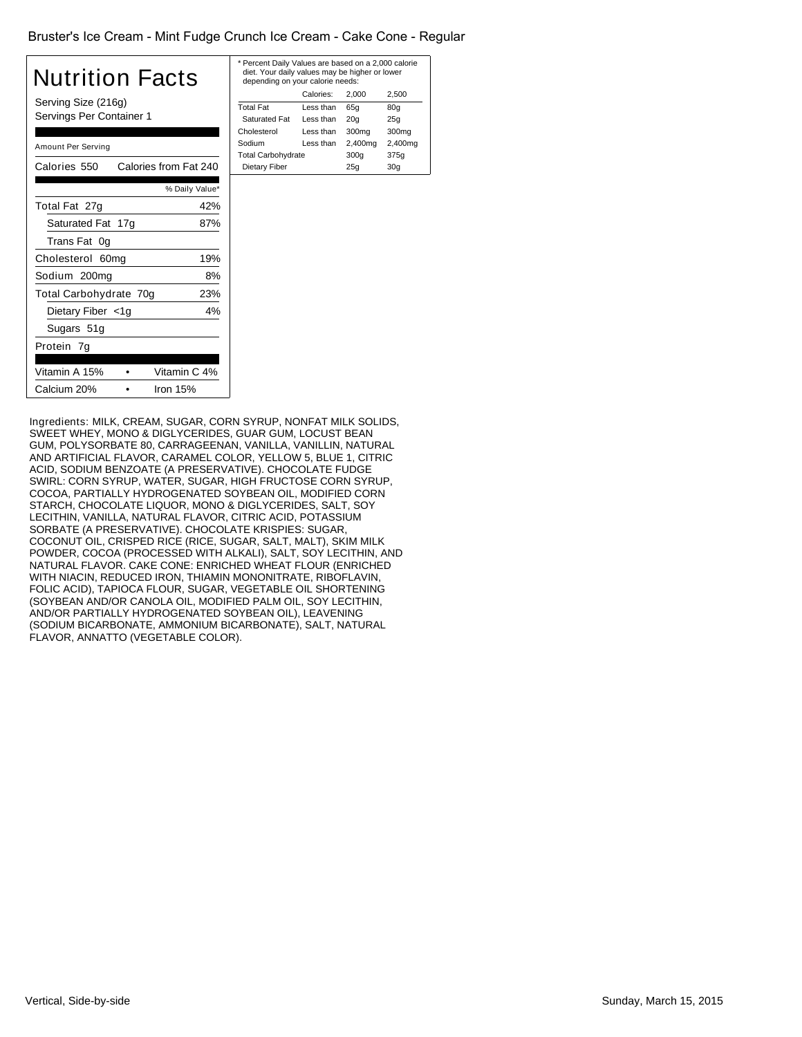#### Bruster's Ice Cream - Mint Fudge Crunch Ice Cream - Cake Cone - Regular

| Nutrition Facts<br>Serving Size (216g)<br>Servings Per Container 1 |                       |  |  |
|--------------------------------------------------------------------|-----------------------|--|--|
| Amount Per Serving                                                 |                       |  |  |
| Calories 550                                                       | Calories from Fat 240 |  |  |
|                                                                    | % Daily Value*        |  |  |
| Total Fat 27g                                                      | 42%                   |  |  |
| Saturated Fat 17g                                                  | 87%                   |  |  |
| Trans Fat 0g                                                       |                       |  |  |
| Cholesterol 60mg                                                   | 19%                   |  |  |
| Sodium 200mg                                                       | 8%                    |  |  |
| Total Carbohydrate 70g                                             | 23%                   |  |  |
| Dietary Fiber <1g                                                  | 4%                    |  |  |
| Sugars 51g                                                         |                       |  |  |
| Protein 7g                                                         |                       |  |  |
| Vitamin A 15%                                                      | Vitamin C 4%          |  |  |
| Calcium 20%                                                        | Iron 15%              |  |  |

| * Percent Daily Values are based on a 2,000 calorie<br>diet. Your daily values may be higher or lower<br>depending on your calorie needs: |           |                 |         |  |
|-------------------------------------------------------------------------------------------------------------------------------------------|-----------|-----------------|---------|--|
| Calories:<br>2.500<br>2.000                                                                                                               |           |                 |         |  |
| <b>Total Fat</b>                                                                                                                          | Less than | 65q             | 80q     |  |
| <b>Saturated Fat</b>                                                                                                                      | Less than | 20 <sub>q</sub> | 25q     |  |
| Cholesterol                                                                                                                               | Less than | 300mg           | 300mg   |  |
| Sodium                                                                                                                                    | Less than | 2,400mg         | 2,400mg |  |
| <b>Total Carbohydrate</b>                                                                                                                 |           | 300q            | 375g    |  |
| Dietary Fiber<br>30 <sub>q</sub><br>25q                                                                                                   |           |                 |         |  |
|                                                                                                                                           |           |                 |         |  |

Ingredients: MILK, CREAM, SUGAR, CORN SYRUP, NONFAT MILK SOLIDS, SWEET WHEY, MONO & DIGLYCERIDES, GUAR GUM, LOCUST BEAN GUM, POLYSORBATE 80, CARRAGEENAN, VANILLA, VANILLIN, NATURAL AND ARTIFICIAL FLAVOR, CARAMEL COLOR, YELLOW 5, BLUE 1, CITRIC ACID, SODIUM BENZOATE (A PRESERVATIVE). CHOCOLATE FUDGE SWIRL: CORN SYRUP, WATER, SUGAR, HIGH FRUCTOSE CORN SYRUP, COCOA, PARTIALLY HYDROGENATED SOYBEAN OIL, MODIFIED CORN STARCH, CHOCOLATE LIQUOR, MONO & DIGLYCERIDES, SALT, SOY LECITHIN, VANILLA, NATURAL FLAVOR, CITRIC ACID, POTASSIUM SORBATE (A PRESERVATIVE). CHOCOLATE KRISPIES: SUGAR, COCONUT OIL, CRISPED RICE (RICE, SUGAR, SALT, MALT), SKIM MILK POWDER, COCOA (PROCESSED WITH ALKALI), SALT, SOY LECITHIN, AND NATURAL FLAVOR. CAKE CONE: ENRICHED WHEAT FLOUR (ENRICHED WITH NIACIN, REDUCED IRON, THIAMIN MONONITRATE, RIBOFLAVIN, FOLIC ACID), TAPIOCA FLOUR, SUGAR, VEGETABLE OIL SHORTENING (SOYBEAN AND/OR CANOLA OIL, MODIFIED PALM OIL, SOY LECITHIN, AND/OR PARTIALLY HYDROGENATED SOYBEAN OIL), LEAVENING (SODIUM BICARBONATE, AMMONIUM BICARBONATE), SALT, NATURAL FLAVOR, ANNATTO (VEGETABLE COLOR).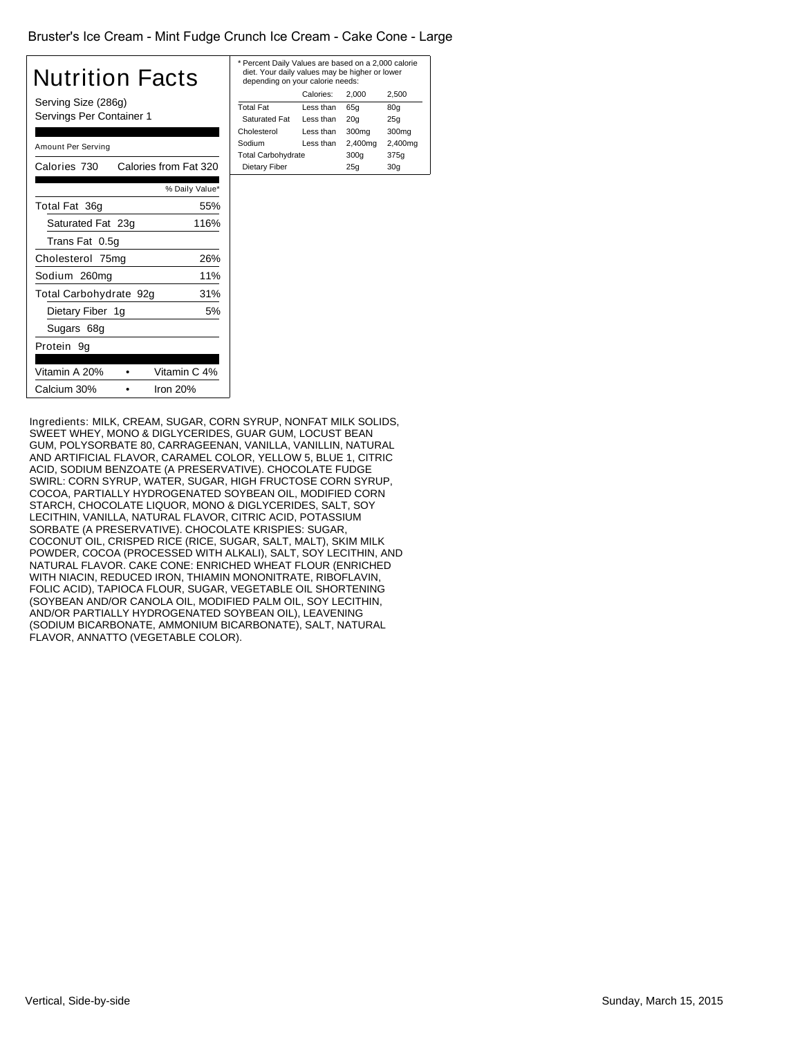#### Bruster's Ice Cream - Mint Fudge Crunch Ice Cream - Cake Cone - Large

| Nutrition Facts                                 |                |
|-------------------------------------------------|----------------|
| Serving Size (286g)<br>Servings Per Container 1 |                |
| Amount Per Serving                              |                |
| Calories from Fat 320<br>Calories 730           |                |
|                                                 | % Daily Value* |
| Total Fat 36g                                   | 55%            |
| Saturated Fat 23g                               | 116%           |
| Trans Fat 0.5q                                  |                |
| Cholesterol 75mg                                | 26%            |
| Sodium 260mg                                    | 11%            |
| Total Carbohydrate 92g                          | 31%            |
| Dietary Fiber 1g                                | 5%             |
| Sugars 68g                                      |                |
| Protein 9q                                      |                |

Vitamin A 20% • Vitamin C 4% Calcium 30% • Iron 20%

| * Percent Daily Values are based on a 2,000 calorie<br>diet. Your daily values may be higher or lower<br>depending on your calorie needs: |           |                 |                 |
|-------------------------------------------------------------------------------------------------------------------------------------------|-----------|-----------------|-----------------|
|                                                                                                                                           | Calories: | 2.000           | 2,500           |
| Total Fat                                                                                                                                 | Less than | 65q             | 80q             |
| <b>Saturated Fat</b>                                                                                                                      | Less than | 20 <sub>q</sub> | 25q             |
| Cholesterol                                                                                                                               | Less than | 300mg           | 300mg           |
| Sodium                                                                                                                                    | Less than | 2,400mg         | 2,400mg         |
| <b>Total Carbohydrate</b>                                                                                                                 |           | 300q            | 375q            |
| Dietary Fiber                                                                                                                             |           | 25q             | 30 <sub>q</sub> |
|                                                                                                                                           |           |                 |                 |

Ingredients: MILK, CREAM, SUGAR, CORN SYRUP, NONFAT MILK SOLIDS, SWEET WHEY, MONO & DIGLYCERIDES, GUAR GUM, LOCUST BEAN GUM, POLYSORBATE 80, CARRAGEENAN, VANILLA, VANILLIN, NATURAL AND ARTIFICIAL FLAVOR, CARAMEL COLOR, YELLOW 5, BLUE 1, CITRIC ACID, SODIUM BENZOATE (A PRESERVATIVE). CHOCOLATE FUDGE SWIRL: CORN SYRUP, WATER, SUGAR, HIGH FRUCTOSE CORN SYRUP, COCOA, PARTIALLY HYDROGENATED SOYBEAN OIL, MODIFIED CORN STARCH, CHOCOLATE LIQUOR, MONO & DIGLYCERIDES, SALT, SOY LECITHIN, VANILLA, NATURAL FLAVOR, CITRIC ACID, POTASSIUM SORBATE (A PRESERVATIVE). CHOCOLATE KRISPIES: SUGAR, COCONUT OIL, CRISPED RICE (RICE, SUGAR, SALT, MALT), SKIM MILK POWDER, COCOA (PROCESSED WITH ALKALI), SALT, SOY LECITHIN, AND NATURAL FLAVOR. CAKE CONE: ENRICHED WHEAT FLOUR (ENRICHED WITH NIACIN, REDUCED IRON, THIAMIN MONONITRATE, RIBOFLAVIN, FOLIC ACID), TAPIOCA FLOUR, SUGAR, VEGETABLE OIL SHORTENING (SOYBEAN AND/OR CANOLA OIL, MODIFIED PALM OIL, SOY LECITHIN, AND/OR PARTIALLY HYDROGENATED SOYBEAN OIL), LEAVENING (SODIUM BICARBONATE, AMMONIUM BICARBONATE), SALT, NATURAL FLAVOR, ANNATTO (VEGETABLE COLOR).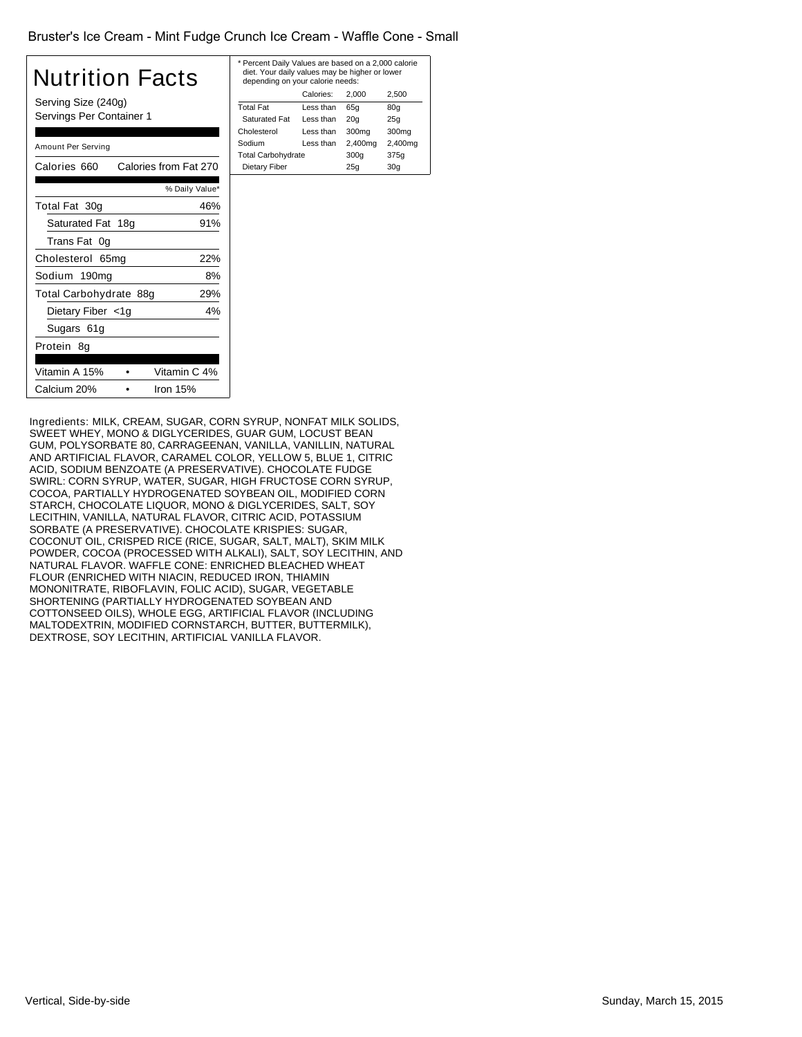#### Bruster's Ice Cream - Mint Fudge Crunch Ice Cream - Waffle Cone - Small

# Nutrition Facts

Serving Size (240g) Servings Per Container 1

| Amount Per Serving     |                       |
|------------------------|-----------------------|
| Calories 660           | Calories from Fat 270 |
|                        | % Daily Value*        |
| Total Fat 30g          | 46%                   |
| Saturated Fat 18g      | 91%                   |
| Trans Fat<br>.0a       |                       |
| Cholesterol 65mg       | 22%                   |
| Sodium 190mg           | 8%                    |
| Total Carbohydrate 88g | 29%                   |
| Dietary Fiber <1g      | 4%                    |
| Sugars 61g             |                       |
| Protein 8q             |                       |
|                        |                       |
| Vitamin A 15%          | Vitamin C 4%          |
| Calcium 20%            | Iron 15%              |

| * Percent Daily Values are based on a 2,000 calorie<br>diet. Your daily values may be higher or lower<br>depending on your calorie needs: |           |                 |                 |
|-------------------------------------------------------------------------------------------------------------------------------------------|-----------|-----------------|-----------------|
|                                                                                                                                           | Calories: | 2.000           | 2,500           |
| <b>Total Fat</b>                                                                                                                          | Less than | 65q             | 80q             |
| <b>Saturated Fat</b>                                                                                                                      | Less than | 20 <sub>q</sub> | 25q             |
| Cholesterol                                                                                                                               | Less than | 300mg           | 300mg           |
| Sodium                                                                                                                                    | Less than | 2,400mg         | 2,400mg         |
| <b>Total Carbohydrate</b>                                                                                                                 |           | 300q            | 375q            |
| Dietary Fiber                                                                                                                             |           | 25q             | 30 <sub>q</sub> |
|                                                                                                                                           |           |                 |                 |

Ingredients: MILK, CREAM, SUGAR, CORN SYRUP, NONFAT MILK SOLIDS, SWEET WHEY, MONO & DIGLYCERIDES, GUAR GUM, LOCUST BEAN GUM, POLYSORBATE 80, CARRAGEENAN, VANILLA, VANILLIN, NATURAL AND ARTIFICIAL FLAVOR, CARAMEL COLOR, YELLOW 5, BLUE 1, CITRIC ACID, SODIUM BENZOATE (A PRESERVATIVE). CHOCOLATE FUDGE SWIRL: CORN SYRUP, WATER, SUGAR, HIGH FRUCTOSE CORN SYRUP, COCOA, PARTIALLY HYDROGENATED SOYBEAN OIL, MODIFIED CORN STARCH, CHOCOLATE LIQUOR, MONO & DIGLYCERIDES, SALT, SOY LECITHIN, VANILLA, NATURAL FLAVOR, CITRIC ACID, POTASSIUM SORBATE (A PRESERVATIVE). CHOCOLATE KRISPIES: SUGAR, COCONUT OIL, CRISPED RICE (RICE, SUGAR, SALT, MALT), SKIM MILK POWDER, COCOA (PROCESSED WITH ALKALI), SALT, SOY LECITHIN, AND NATURAL FLAVOR. WAFFLE CONE: ENRICHED BLEACHED WHEAT FLOUR (ENRICHED WITH NIACIN, REDUCED IRON, THIAMIN MONONITRATE, RIBOFLAVIN, FOLIC ACID), SUGAR, VEGETABLE SHORTENING (PARTIALLY HYDROGENATED SOYBEAN AND COTTONSEED OILS), WHOLE EGG, ARTIFICIAL FLAVOR (INCLUDING MALTODEXTRIN, MODIFIED CORNSTARCH, BUTTER, BUTTERMILK), DEXTROSE, SOY LECITHIN, ARTIFICIAL VANILLA FLAVOR.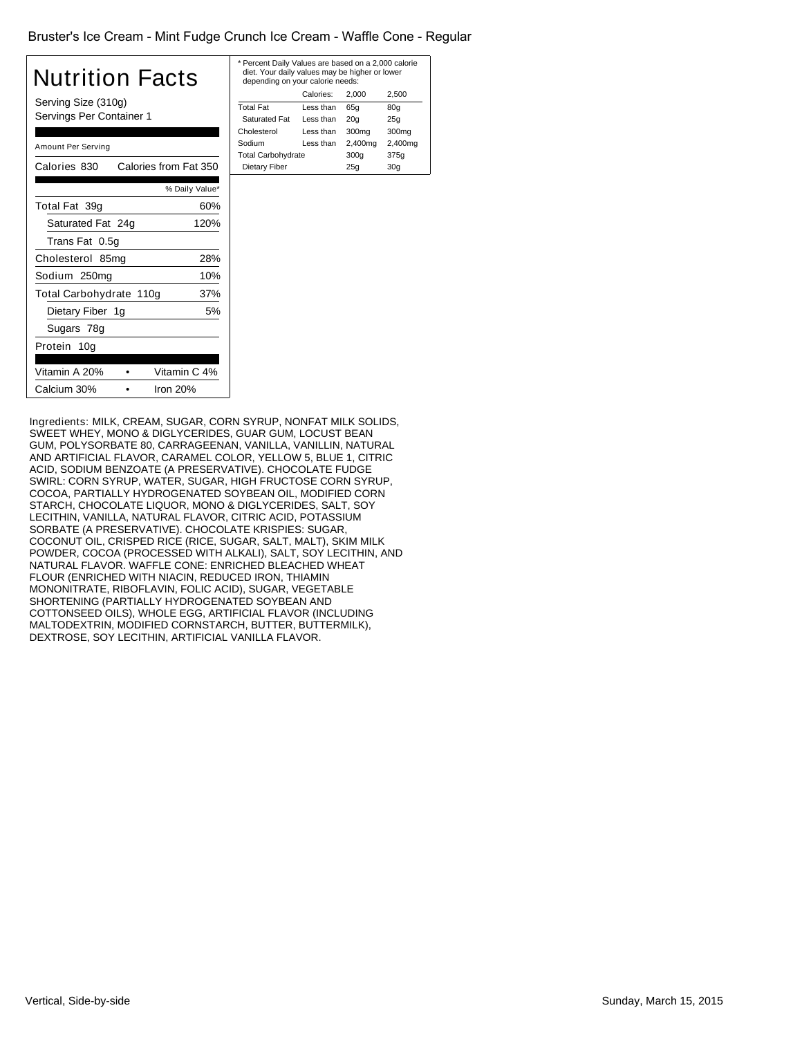#### Bruster's Ice Cream - Mint Fudge Crunch Ice Cream - Waffle Cone - Regular

## Nutrition Facts

Serving Size (310g) Servings Per Container 1

| Amount Per Serving             |                       |  |
|--------------------------------|-----------------------|--|
| Calories 830                   | Calories from Fat 350 |  |
|                                | % Daily Value*        |  |
| Total Fat 39g                  | 60%                   |  |
| Saturated Fat 24g              | 120%                  |  |
| Trans Fat 0.5q                 |                       |  |
| Cholesterol 85mg               | 28%                   |  |
| Sodium 250mg<br>10%            |                       |  |
| Total Carbohydrate 110g<br>37% |                       |  |
| Dietary Fiber 1g               | 5%                    |  |
| Sugars 78g                     |                       |  |
| Protein 10a                    |                       |  |
|                                |                       |  |
| Vitamin A 20%                  | Vitamin C 4%          |  |
| Calcium 30%                    | Iron 20%              |  |
|                                |                       |  |

| * Percent Daily Values are based on a 2,000 calorie<br>diet. Your daily values may be higher or lower<br>depending on your calorie needs: |           |                 |                 |
|-------------------------------------------------------------------------------------------------------------------------------------------|-----------|-----------------|-----------------|
|                                                                                                                                           | Calories: | 2.000           | 2,500           |
| <b>Total Fat</b>                                                                                                                          | Less than | 65q             | 80q             |
| <b>Saturated Fat</b>                                                                                                                      | Less than | 20 <sub>q</sub> | 25q             |
| Cholesterol                                                                                                                               | Less than | 300mg           | 300mg           |
| Sodium                                                                                                                                    | Less than | 2,400mg         | 2,400mg         |
| <b>Total Carbohydrate</b>                                                                                                                 |           | 300q            | 375q            |
| Dietary Fiber                                                                                                                             |           | 25q             | 30 <sub>q</sub> |
|                                                                                                                                           |           |                 |                 |

Ingredients: MILK, CREAM, SUGAR, CORN SYRUP, NONFAT MILK SOLIDS, SWEET WHEY, MONO & DIGLYCERIDES, GUAR GUM, LOCUST BEAN GUM, POLYSORBATE 80, CARRAGEENAN, VANILLA, VANILLIN, NATURAL AND ARTIFICIAL FLAVOR, CARAMEL COLOR, YELLOW 5, BLUE 1, CITRIC ACID, SODIUM BENZOATE (A PRESERVATIVE). CHOCOLATE FUDGE SWIRL: CORN SYRUP, WATER, SUGAR, HIGH FRUCTOSE CORN SYRUP, COCOA, PARTIALLY HYDROGENATED SOYBEAN OIL, MODIFIED CORN STARCH, CHOCOLATE LIQUOR, MONO & DIGLYCERIDES, SALT, SOY LECITHIN, VANILLA, NATURAL FLAVOR, CITRIC ACID, POTASSIUM SORBATE (A PRESERVATIVE). CHOCOLATE KRISPIES: SUGAR, COCONUT OIL, CRISPED RICE (RICE, SUGAR, SALT, MALT), SKIM MILK POWDER, COCOA (PROCESSED WITH ALKALI), SALT, SOY LECITHIN, AND NATURAL FLAVOR. WAFFLE CONE: ENRICHED BLEACHED WHEAT FLOUR (ENRICHED WITH NIACIN, REDUCED IRON, THIAMIN MONONITRATE, RIBOFLAVIN, FOLIC ACID), SUGAR, VEGETABLE SHORTENING (PARTIALLY HYDROGENATED SOYBEAN AND COTTONSEED OILS), WHOLE EGG, ARTIFICIAL FLAVOR (INCLUDING MALTODEXTRIN, MODIFIED CORNSTARCH, BUTTER, BUTTERMILK), DEXTROSE, SOY LECITHIN, ARTIFICIAL VANILLA FLAVOR.